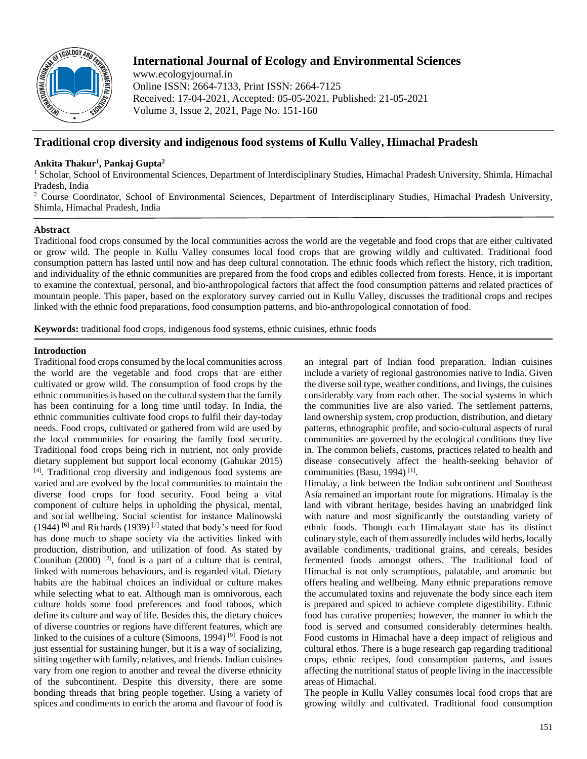

# **International Journal of Ecology and Environmental Sciences**

www.ecologyjournal.in Online ISSN: 2664-7133, Print ISSN: 2664-7125 Received: 17-04-2021, Accepted: 05-05-2021, Published: 21-05-2021 Volume 3, Issue 2, 2021, Page No. 151-160

# **Traditional crop diversity and indigenous food systems of Kullu Valley, Himachal Pradesh**

# **Ankita Thakur<sup>1</sup> , Pankaj Gupta<sup>2</sup>**

<sup>1</sup> Scholar, School of Environmental Sciences, Department of Interdisciplinary Studies, Himachal Pradesh University, Shimla, Himachal Pradesh, India

<sup>2</sup> Course Coordinator, School of Environmental Sciences, Department of Interdisciplinary Studies, Himachal Pradesh University, Shimla, Himachal Pradesh, India

# **Abstract**

Traditional food crops consumed by the local communities across the world are the vegetable and food crops that are either cultivated or grow wild. The people in Kullu Valley consumes local food crops that are growing wildly and cultivated. Traditional food consumption pattern has lasted until now and has deep cultural connotation. The ethnic foods which reflect the history, rich tradition, and individuality of the ethnic communities are prepared from the food crops and edibles collected from forests. Hence, it is important to examine the contextual, personal, and bio-anthropological factors that affect the food consumption patterns and related practices of mountain people. This paper, based on the exploratory survey carried out in Kullu Valley, discusses the traditional crops and recipes linked with the ethnic food preparations, food consumption patterns, and bio-anthropological connotation of food.

**Keywords:** traditional food crops, indigenous food systems, ethnic cuisines, ethnic foods

# **Introduction**

Traditional food crops consumed by the local communities across the world are the vegetable and food crops that are either cultivated or grow wild. The consumption of food crops by the ethnic communities is based on the cultural system that the family has been continuing for a long time until today. In India, the ethnic communities cultivate food crops to fulfil their day-today needs. Food crops, cultivated or gathered from wild are used by the local communities for ensuring the family food security. Traditional food crops being rich in nutrient, not only provide dietary supplement but support local economy (Gahukar 2015) [4] . Traditional crop diversity and indigenous food systems are varied and are evolved by the local communities to maintain the diverse food crops for food security. Food being a vital component of culture helps in upholding the physical, mental, and social wellbeing. Social scientist for instance Malinowski  $(1944)$ <sup>[6]</sup> and Richards (1939)<sup>[7]</sup> stated that body's need for food has done much to shape society via the activities linked with production, distribution, and utilization of food. As stated by Counihan  $(2000)$  <sup>[2]</sup>, food is a part of a culture that is central, linked with numerous behaviours, and is regarded vital. Dietary habits are the habitual choices an individual or culture makes while selecting what to eat. Although man is omnivorous, each culture holds some food preferences and food taboos, which define its culture and way of life. Besides this, the dietary choices of diverse countries or regions have different features, which are linked to the cuisines of a culture (Simoons, 1994) [9] *.* Food is not just essential for sustaining hunger, but it is a way of socializing, sitting together with family, relatives, and friends. Indian cuisines vary from one region to another and reveal the diverse ethnicity of the subcontinent. Despite this diversity, there are some bonding threads that bring people together. Using a variety of spices and condiments to enrich the aroma and flavour of food is

an integral part of Indian food preparation. Indian cuisines include a variety of regional gastronomies native to India. Given the diverse soil type, weather conditions, and livings, the cuisines considerably vary from each other. The social systems in which the communities live are also varied. The settlement patterns, land ownership system, crop production, distribution, and dietary patterns, ethnographic profile, and socio-cultural aspects of rural communities are governed by the ecological conditions they live in. The common beliefs, customs, practices related to health and disease consecutively affect the health-seeking behavior of communities (Basu, 1994)<sup>[1]</sup>.

Himalay, a link between the Indian subcontinent and Southeast Asia remained an important route for migrations. Himalay is the land with vibrant heritage, besides having an unabridged link with nature and most significantly the outstanding variety of ethnic foods. Though each Himalayan state has its distinct culinary style, each of them assuredly includes wild herbs, locally available condiments, traditional grains, and cereals, besides fermented foods amongst others. The traditional food of Himachal is not only scrumptious, palatable, and aromatic but offers healing and wellbeing. Many ethnic preparations remove the accumulated toxins and rejuvenate the body since each item is prepared and spiced to achieve complete digestibility. Ethnic food has curative properties; however, the manner in which the food is served and consumed considerably determines health. Food customs in Himachal have a deep impact of religious and cultural ethos. There is a huge research gap regarding traditional crops, ethnic recipes, food consumption patterns, and issues affecting the nutritional status of people living in the inaccessible areas of Himachal.

The people in Kullu Valley consumes local food crops that are growing wildly and cultivated. Traditional food consumption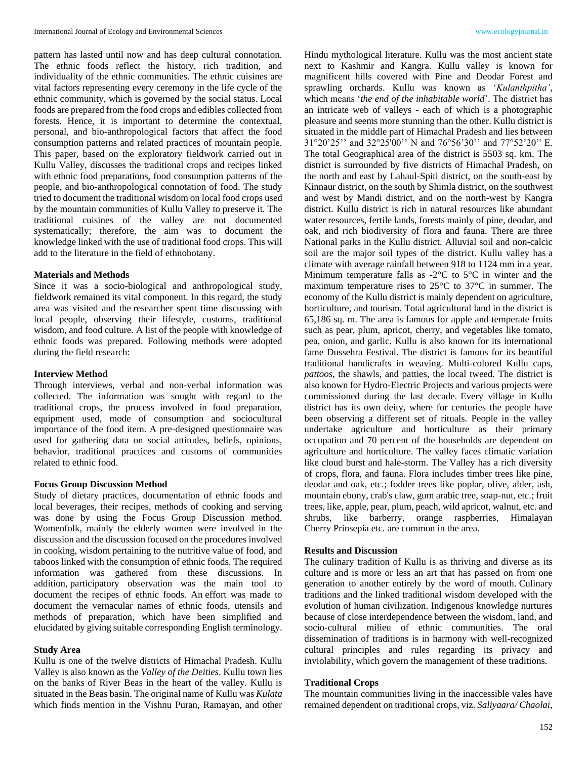pattern has lasted until now and has deep cultural connotation. The ethnic foods reflect the history, rich tradition, and individuality of the ethnic communities. The ethnic cuisines are vital factors representing every ceremony in the life cycle of the ethnic community, which is governed by the social status. Local foods are prepared from the food crops and edibles collected from forests. Hence, it is important to determine the contextual, personal, and bio-anthropological factors that affect the food consumption patterns and related practices of mountain people. This paper, based on the exploratory fieldwork carried out in Kullu Valley, discusses the traditional crops and recipes linked with ethnic food preparations, food consumption patterns of the people, and bio-anthropological connotation of food. The study tried to document the traditional wisdom on local food crops used by the mountain communities of Kullu Valley to preserve it. The traditional cuisines of the valley are not documented systematically; therefore, the aim was to document the knowledge linked with the use of traditional food crops. This will add to the literature in the field of ethnobotany.

#### **Materials and Methods**

Since it was a socio-biological and anthropological study, fieldwork remained its vital component. In this regard, the study area was visited and the researcher spent time discussing with local people, observing their lifestyle, customs, traditional wisdom, and food culture. A list of the people with knowledge of ethnic foods was prepared. Following methods were adopted during the field research:

#### **Interview Method**

Through interviews, verbal and non-verbal information was collected. The information was sought with regard to the traditional crops, the process involved in food preparation, equipment used, mode of consumption and sociocultural importance of the food item. A pre-designed questionnaire was used for gathering data on social attitudes, beliefs, opinions, behavior, traditional practices and customs of communities related to ethnic food.

## **Focus Group Discussion Method**

Study of dietary practices, documentation of ethnic foods and local beverages, their recipes, methods of cooking and serving was done by using the Focus Group Discussion method. Womenfolk, mainly the elderly women were involved in the discussion and the discussion focused on the procedures involved in cooking, wisdom pertaining to the nutritive value of food, and taboos linked with the consumption of ethnic foods. The required information was gathered from these discussions. In addition, participatory observation was the main tool to document the recipes of ethnic foods. An effort was made to document the vernacular names of ethnic foods, utensils and methods of preparation, which have been simplified and elucidated by giving suitable corresponding English terminology.

#### **Study Area**

Kullu is one of the twelve districts of Himachal Pradesh. Kullu Valley is also known as the *Valley of the Deities*. Kullu town lies on the banks of River Beas in the heart of the valley. Kullu is situated in the Beas basin. The original name of Kullu was *Kulata* which finds mention in the Vishnu Puran, Ramayan, and other Hindu mythological literature. Kullu was the most ancient state next to Kashmir and Kangra. Kullu valley is known for magnificent hills covered with Pine and Deodar Forest and sprawling orchards. Kullu was known as '*Kulanthpitha'*, which means '*the end of the inhabitable world*'. The district has an intricate web of valleys - each of which is a photographic pleasure and seems more stunning than the other. Kullu district is situated in the middle part of Himachal Pradesh and lies between 31°20'25'' and 32°25'00'' N and 76°56'30'' and 77°52'20'' E. The total Geographical area of the district is 5503 sq. km. The district is surrounded by five districts of Himachal Pradesh, on the north and east by Lahaul-Spiti district, on the south-east by Kinnaur district, on the south by Shimla district, on the southwest and west by Mandi district, and on the north-west by Kangra district. Kullu district is rich in natural resources like abundant water resources, fertile lands, forests mainly of pine, deodar, and oak, and rich biodiversity of flora and fauna. There are three National parks in the Kullu district. Alluvial soil and non-calcic soil are the major soil types of the district. Kullu valley has a climate with average rainfall between 918 to 1124 mm in a year. Minimum temperature falls as -2°C to 5°C in winter and the maximum temperature rises to 25°C to 37°C in summer. The economy of the Kullu district is mainly dependent on agriculture, horticulture, and tourism. Total agricultural land in the district is 65,186 sq. m. The area is famous for apple and temperate fruits such as pear, plum, apricot, cherry, and vegetables like tomato, pea, onion, and garlic. Kullu is also known for its international fame Dussehra Festival. The district is famous for its beautiful traditional handicrafts in weaving. Multi-colored Kullu caps, *pattoos*, the shawls, and patties, the local tweed. The district is also known for Hydro-Electric Projects and various projects were commissioned during the last decade. Every village in Kullu district has its own deity, where for centuries the people have been observing a different set of rituals. People in the valley undertake agriculture and horticulture as their primary occupation and 70 percent of the households are dependent on agriculture and horticulture. The valley faces climatic variation like cloud burst and hale-storm. The Valley has a rich diversity of crops, flora, and fauna. Flora includes timber trees like pine, deodar and oak, etc.; fodder trees like poplar, olive, alder, ash, mountain ebony, crab's claw, gum arabic tree, soap-nut, etc.; fruit trees, like, apple, pear, plum, peach, wild apricot, walnut, etc. and shrubs, like barberry, orange raspberries, Himalayan Cherry Prinsepia etc. are common in the area.

### **Results and Discussion**

The culinary tradition of Kullu is as thriving and diverse as its culture and is more or less an art that has passed on from one generation to another entirely by the word of mouth. Culinary traditions and the linked traditional wisdom developed with the evolution of human civilization. Indigenous knowledge nurtures because of close interdependence between the wisdom, land, and socio-cultural milieu of ethnic communities. The oral dissemination of traditions is in harmony with well-recognized cultural principles and rules regarding its privacy and inviolability, which govern the management of these traditions.

### **Traditional Crops**

The mountain communities living in the inaccessible vales have remained dependent on traditional crops, viz. *Saliyaara/ Chaolai*,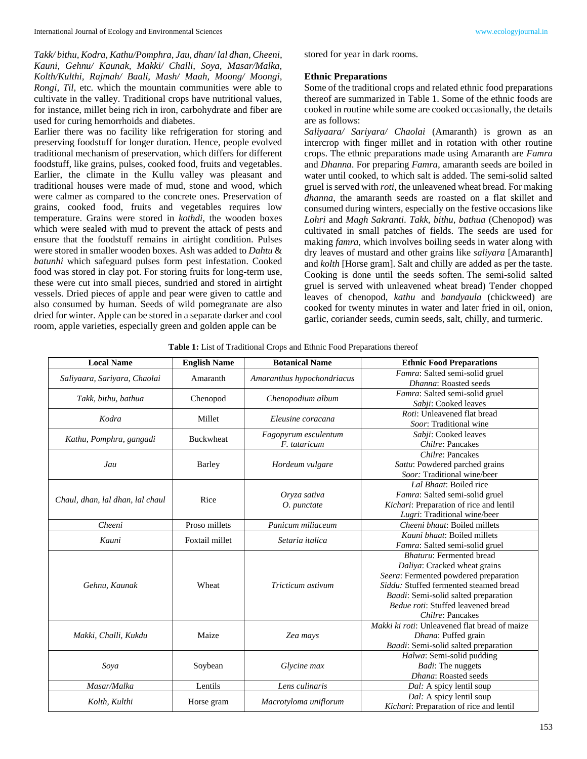*Takk/ bithu, Kodra*, *Kathu/Pomphra, Jau, dhan/ lal dhan, Cheeni, Kauni, Gehnu/ Kaunak, Makki/ Challi, Soya, Masar/Malka, Kolth/Kulthi, Rajmah/ Baali, Mash/ Maah, Moong/ Moongi, Rongi, Til*, etc. which the mountain communities were able to cultivate in the valley. Traditional crops have nutritional values, for instance, millet being rich in iron, carbohydrate and fiber are used for curing hemorrhoids and diabetes.

Earlier there was no facility like refrigeration for storing and preserving foodstuff for longer duration. Hence, people evolved traditional mechanism of preservation, which differs for different foodstuff, like grains, pulses, cooked food, fruits and vegetables. Earlier, the climate in the Kullu valley was pleasant and traditional houses were made of mud, stone and wood, which were calmer as compared to the concrete ones. Preservation of grains, cooked food, fruits and vegetables requires low temperature. Grains were stored in *kothdi*, the wooden boxes which were sealed with mud to prevent the attack of pests and ensure that the foodstuff remains in airtight condition. Pulses were stored in smaller wooden boxes. Ash was added to *Dahtu* & *batunhi* which safeguard pulses form pest infestation. Cooked food was stored in clay pot. For storing fruits for long-term use, these were cut into small pieces, sundried and stored in airtight vessels. Dried pieces of apple and pear were given to cattle and also consumed by human. Seeds of wild pomegranate are also dried for winter. Apple can be stored in a separate darker and cool room, apple varieties, especially green and golden apple can be

*Makki, Challi, Kukdu* Maize *Zea mays*

*Soya* Soybean *Glycine max*

stored for year in dark rooms.

#### **Ethnic Preparations**

Some of the traditional crops and related ethnic food preparations thereof are summarized in Table 1. Some of the ethnic foods are cooked in routine while some are cooked occasionally, the details are as follows:

*Saliyaara/ Sariyara/ Chaolai* (Amaranth) is grown as an intercrop with finger millet and in rotation with other routine crops. The ethnic preparations made using Amaranth are *Famra* and *Dhanna*. For preparing *Famra,* amaranth seeds are boiled in water until cooked, to which salt is added. The semi-solid salted gruel is served with *roti*, the unleavened wheat bread. For making *dhanna*, the amaranth seeds are roasted on a flat skillet and consumed during winters, especially on the festive occasions like *Lohri* and *Magh Sakranti*. *Takk, bithu, bathua* (Chenopod) was cultivated in small patches of fields. The seeds are used for making *famra,* which involves boiling seeds in water along with dry leaves of mustard and other grains like *saliyara* [Amaranth] and *kolth* [Horse gram]. Salt and chilly are added as per the taste. Cooking is done until the seeds soften. The semi-solid salted gruel is served with unleavened wheat bread) Tender chopped leaves of chenopod, *kathu* and *bandyaula* (chickweed) are cooked for twenty minutes in water and later fried in oil, onion, garlic, coriander seeds, cumin seeds, salt, chilly, and turmeric.

> *Makki ki roti*: Unleavened flat bread of maize *Dhana*: Puffed grain *Baadi*: Semi-solid salted preparation

> > *Halwa*: Semi-solid pudding *Badi*: The nuggets *Dhana*: Roasted seeds

*Kichari*: Preparation of rice and lentil

| <b>Local Name</b>                | <b>English Name</b> | <b>Botanical Name</b>                | <b>Ethnic Food Preparations</b>                                                                                                                                                                                                                              |
|----------------------------------|---------------------|--------------------------------------|--------------------------------------------------------------------------------------------------------------------------------------------------------------------------------------------------------------------------------------------------------------|
| Saliyaara, Sariyara, Chaolai     | Amaranth            | Amaranthus hypochondriacus           | Famra: Salted semi-solid gruel<br><i>Dhanna</i> : Roasted seeds                                                                                                                                                                                              |
| Takk, bithu, bathua              | Chenopod            | Chenopodium album                    | Famra: Salted semi-solid gruel<br>Sabji: Cooked leaves                                                                                                                                                                                                       |
| Kodra                            | Millet              | Eleusine coracana                    | <i>Roti:</i> Unleavened flat bread<br>Soor: Traditional wine                                                                                                                                                                                                 |
| Kathu, Pomphra, gangadi          | <b>Buckwheat</b>    | Fagopyrum esculentum<br>F. tataricum | Sabji: Cooked leaves<br>Chilre: Pancakes                                                                                                                                                                                                                     |
| Jau                              | Barley              | Hordeum vulgare                      | Chilre: Pancakes<br>Sattu: Powdered parched grains<br>Soor: Traditional wine/beer                                                                                                                                                                            |
| Chaul, dhan, lal dhan, lal chaul | Rice                | Oryza sativa<br>O. punctate          | Lal Bhaat: Boiled rice<br><i>Famra</i> : Salted semi-solid gruel<br>Kichari: Preparation of rice and lentil<br>Lugri: Traditional wine/beer                                                                                                                  |
| Cheeni                           | Proso millets       | Panicum miliaceum                    | Cheeni bhaat: Boiled millets                                                                                                                                                                                                                                 |
| Kauni                            | Foxtail millet      | Setaria italica                      | <i>Kauni bhaat</i> : Boiled millets<br>Famra: Salted semi-solid gruel                                                                                                                                                                                        |
| Gehnu, Kaunak                    | Wheat               | Tricticum astivum                    | <b>Bhaturu:</b> Fermented bread<br>Daliya: Cracked wheat grains<br>Seera: Fermented powdered preparation<br>Siddu: Stuffed fermented steamed bread<br><i>Baadi</i> : Semi-solid salted preparation<br>Bedue roti: Stuffed leavened bread<br>Chilre: Pancakes |

*Masar/Malka* Lentils *Lens culinaris Dal:* A spicy lentil soup *Kolth, Kulthi* **Horse gram** *Macrotyloma uniflorum Dal:* A spicy lentil soup

**Table 1:** List of Traditional Crops and Ethnic Food Preparations thereof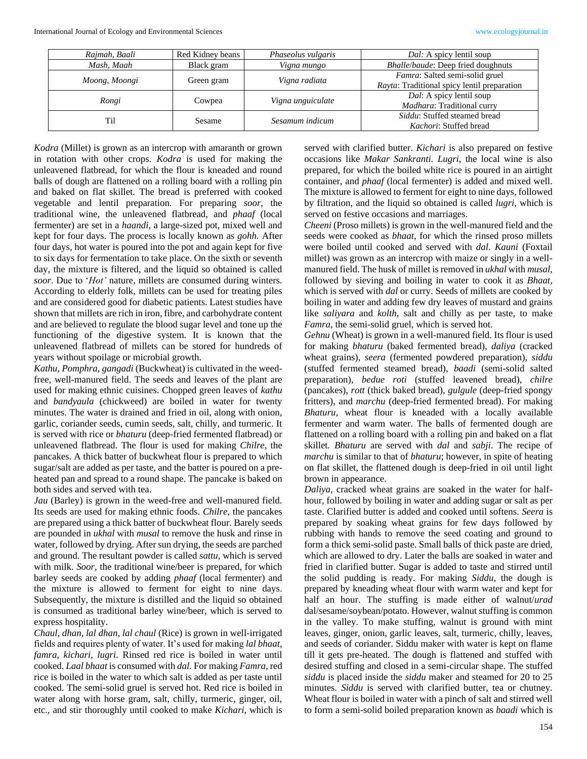| Rajmah, Baali | Red Kidney beans | Phaseolus vulgaris | <i>Dal:</i> A spicy lentil soup             |
|---------------|------------------|--------------------|---------------------------------------------|
| Mash, Maah    | Black gram       | Vigna mungo        | Bhalle/baude: Deep fried doughnuts          |
| Moong, Moongi | Green gram       | Vigna radiata      | Famra: Salted semi-solid gruel              |
|               |                  |                    | Rayta: Traditional spicy lentil preparation |
| Rongi         | Cowpea           | Vigna unguiculate  | <i>Dal:</i> A spicy lentil soup             |
|               |                  |                    | Madhara: Traditional curry                  |
| Til           | <b>Sesame</b>    | Sesamum indicum    | <i>Siddu</i> : Stuffed steamed bread        |
|               |                  |                    | <i>Kachori:</i> Stuffed bread               |

*Kodra* (Millet) is grown as an intercrop with amaranth or grown in rotation with other crops. *Kodra* is used for making the unleavened flatbread, for which the flour is kneaded and round balls of dough are flattened on a rolling board with a rolling pin and baked on flat skillet*.* The bread is preferred with cooked vegetable and lentil preparation*.* For preparing *soor*, the traditional wine, the unleavened flatbread, and *phaaf* (local fermenter) are set in a *haandi*, a large-sized pot, mixed well and kept for four days. The process is locally known as *gohh.* After four days, hot water is poured into the pot and again kept for five to six days for fermentation to take place. On the sixth or seventh day, the mixture is filtered, and the liquid so obtained is called *soor*. Due to '*Hot'* nature, millets are consumed during winters. According to elderly folk, millets can be used for treating piles and are considered good for diabetic patients. Latest studies have shown that millets are rich in iron, fibre, and carbohydrate content and are believed to regulate the blood sugar level and tone up the functioning of the digestive system. It is known that the unleavened flatbread of millets can be stored for hundreds of years without spoilage or microbial growth.

*Kathu, Pomphra, gangadi* (Buckwheat) is cultivated in the weedfree, well-manured field. The seeds and leaves of the plant are used for making ethnic cuisines. Chopped green leaves of *kathu* and *bandyaula* (chickweed) are boiled in water for twenty minutes. The water is drained and fried in oil, along with onion, garlic, coriander seeds, cumin seeds, salt, chilly, and turmeric. It is served with rice or *bhaturu* (deep-fried fermented flatbread) or unleavened flatbread. The flour is used for making *Chilre*, the pancakes. A thick batter of buckwheat flour is prepared to which sugar/salt are added as per taste, and the batter is poured on a preheated pan and spread to a round shape. The pancake is baked on both sides and served with tea.

*Jau* (Barley) is grown in the weed-free and well-manured field. Its seeds are used for making ethnic foods. *Chilre*, the pancakes are prepared using a thick batter of buckwheat flour. Barely seeds are pounded in *ukhal* with *musal* to remove the husk and rinse in water, followed by drying. After sun drying, the seeds are parched and ground. The resultant powder is called *sattu,* which is served with milk. *Soor,* the traditional wine/beer is prepared, for which barley seeds are cooked by adding *phaaf* (local fermenter) and the mixture is allowed to ferment for eight to nine days. Subsequently, the mixture is distilled and the liquid so obtained is consumed as traditional barley wine/beer, which is served to express hospitality.

*Chaul, dhan, lal dhan, lal chaul* (Rice) is grown in well-irrigated fields and requires plenty of water. It's used for making *lal bhaat, famra, kichari, lugri*. Rinsed red rice is boiled in water until cooked. *Laal bhaat* is consumed with *dal.* For making *Famra*, red rice is boiled in the water to which salt is added as per taste until cooked. The semi-solid gruel is served hot. Red rice is boiled in water along with horse gram, salt, chilly, turmeric, ginger, oil, etc., and stir thoroughly until cooked to make *Kichari*, which is served with clarified butter. *Kichari* is also prepared on festive occasions like *Makar Sankranti. Lugri*, the local wine is also prepared, for which the boiled white rice is poured in an airtight container, and *phaaf* (local fermenter) is added and mixed well. The mixture is allowed to ferment for eight to nine days, followed by filtration, and the liquid so obtained is called *lugri*, which is served on festive occasions and marriages.

*Cheeni* (Proso millets) is grown in the well-manured field and the seeds were cooked as *bhaat*, for which the rinsed proso millets were boiled until cooked and served with *dal*. *Kauni* (Foxtail millet) was grown as an intercrop with maize or singly in a wellmanured field. The husk of millet is removed in *ukhal* with *musal,* followed by sieving and boiling in water to cook it as *Bhaat,*  which is served with *dal* or curry. Seeds of millets are cooked by boiling in water and adding few dry leaves of mustard and grains like *saliyara* and *kolth*, salt and chilly as per taste, to make *Famra*, the semi-solid gruel, which is served hot.

*Gehnu* (Wheat) is grown in a well-manured field. Its flour is used for making *bhaturu* (baked fermented bread), *daliya* (cracked wheat grains), *seera* (fermented powdered preparation), *siddu* (stuffed fermented steamed bread), *baadi* (semi-solid salted preparation), *bedue roti* (stuffed leavened bread), *chilre* (pancakes), *rott* (thick baked bread), *gulgule* (deep-fried spongy fritters), and *marchu* (deep-fried fermented bread). For making *Bhaturu,* wheat flour is kneaded with a locally available fermenter and warm water. The balls of fermented dough are flattened on a rolling board with a rolling pin and baked on a flat skillet*. Bhaturu* are served with *dal* and *sabji*. The recipe of *marchu* is similar to that of *bhaturu*; however, in spite of heating on flat skillet, the flattened dough is deep-fried in oil until light brown in appearance.

*Daliya*, cracked wheat grains are soaked in the water for halfhour, followed by boiling in water and adding sugar or salt as per taste. Clarified butter is added and cooked until softens. *Seera* is prepared by soaking wheat grains for few days followed by rubbing with hands to remove the seed coating and ground to form a thick semi-solid paste. Small balls of thick paste are dried, which are allowed to dry. Later the balls are soaked in water and fried in clarified butter. Sugar is added to taste and stirred until the solid pudding is ready. For making *Siddu*, the dough is prepared by kneading wheat flour with warm water and kept for half an hour. The stuffing is made either of walnut/*urad* dal/sesame/soybean/potato. However, walnut stuffing is common in the valley. To make stuffing, walnut is ground with mint leaves, ginger, onion, garlic leaves, salt, turmeric, chilly, leaves, and seeds of coriander. Siddu maker with water is kept on flame till it gets pre-heated. The dough is flattened and stuffed with desired stuffing and closed in a semi-circular shape. The stuffed *siddu* is placed inside the *siddu* maker and steamed for 20 to 25 minutes. *Siddu* is served with clarified butter, tea or chutney*.* Wheat flour is boiled in water with a pinch of salt and stirred well to form a semi-solid boiled preparation known as *baadi* which is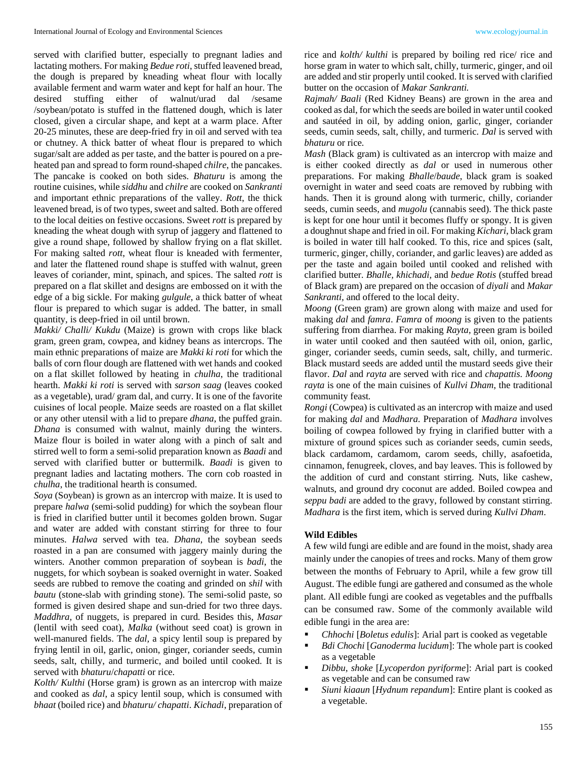served with clarified butter*,* especially to pregnant ladies and lactating mothers. For making *Bedue roti*, stuffed leavened bread, the dough is prepared by kneading wheat flour with locally available ferment and warm water and kept for half an hour. The desired stuffing either of walnut/urad dal /sesame /soybean/potato is stuffed in the flattened dough, which is later closed, given a circular shape, and kept at a warm place. After 20-25 minutes, these are deep-fried fry in oil and served with tea or chutney*.* A thick batter of wheat flour is prepared to which sugar/salt are added as per taste, and the batter is poured on a preheated pan and spread to form round-shaped *chilre*, the pancakes. The pancake is cooked on both sides. *Bhaturu* is among the routine cuisines, while *siddhu* and *chilre* are cooked on *Sankranti*  and important ethnic preparations of the valley. *Rott*, the thick leavened bread, is of two types, sweet and salted. Both are offered to the local deities on festive occasions. Sweet *rott* is prepared by kneading the wheat dough with syrup of jaggery and flattened to give a round shape, followed by shallow frying on a flat skillet. For making salted *rott*, wheat flour is kneaded with fermenter, and later the flattened round shape is stuffed with walnut, green leaves of coriander, mint, spinach, and spices. The salted *rott* is prepared on a flat skillet and designs are embossed on it with the edge of a big sickle. For making *gulgule*, a thick batter of wheat flour is prepared to which sugar is added. The batter, in small quantity, is deep-fried in oil until brown.

*Makki/ Challi/ Kukdu* (Maize) is grown with crops like black gram, green gram, cowpea, and kidney beans as intercrops. The main ethnic preparations of maize are *Makki ki roti* for which the balls of corn flour dough are flattened with wet hands and cooked on a flat skillet followed by heating in *chulha*, the traditional hearth. *Makki ki roti* is served with *sarson saag* (leaves cooked as a vegetable), urad/ gram dal, and curry. It is one of the favorite cuisines of local people. Maize seeds are roasted on a flat skillet or any other utensil with a lid to prepare *dhana*, the puffed grain. *Dhana* is consumed with walnut, mainly during the winters. Maize flour is boiled in water along with a pinch of salt and stirred well to form a semi-solid preparation known as *Baadi* and served with clarified butter or buttermilk*. Baadi* is given to pregnant ladies and lactating mothers. The corn cob roasted in *chulha*, the traditional hearth is consumed.

*Soya* (Soybean) is grown as an intercrop with maize. It is used to prepare *halwa* (semi-solid pudding) for which the soybean flour is fried in clarified butter until it becomes golden brown. Sugar and water are added with constant stirring for three to four minutes. *Halwa* served with tea. *Dhana*, the soybean seeds roasted in a pan are consumed with jaggery mainly during the winters. Another common preparation of soybean is *badi*, the nuggets, for which soybean is soaked overnight in water. Soaked seeds are rubbed to remove the coating and grinded on *shil* with *bautu* (stone-slab with grinding stone). The semi-solid paste, so formed is given desired shape and sun-dried for two three days. *Maddhra,* of nuggets, is prepared in curd*.* Besides this, *Masar*  (lentil with seed coat)*, Malka* (without seed coat) is grown in well-manured fields. The *dal,* a spicy lentil soup is prepared by frying lentil in oil, garlic, onion, ginger, coriander seeds, cumin seeds, salt, chilly, and turmeric, and boiled until cooked. It is served with *bhaturu*/*chapatti* or rice.

*Kolth/ Kulthi* (Horse gram) is grown as an intercrop with maize and cooked as *dal*, a spicy lentil soup, which is consumed with *bhaat* (boiled rice) and *bhaturu/ chapatti*. *Kichadi*, preparation of

rice and *kolth/ kulthi* is prepared by boiling red rice/ rice and horse gram in water to which salt, chilly, turmeric, ginger, and oil are added and stir properly until cooked. It is served with clarified butter on the occasion of *Makar Sankranti.*

*Rajmah/ Baali* (Red Kidney Beans) are grown in the area and cooked as dal, for which the seeds are boiled in water until cooked and sautéed in oil, by adding onion, garlic, ginger, coriander seeds, cumin seeds, salt, chilly, and turmeric. *Dal* is served with *bhaturu* or rice*.*

*Mash* (Black gram) is cultivated as an intercrop with maize and is either cooked directly as *dal* or used in numerous other preparations. For making *Bhalle*/*baude*, black gram is soaked overnight in water and seed coats are removed by rubbing with hands. Then it is ground along with turmeric, chilly, coriander seeds, cumin seeds, and *mugolu* (cannabis seed). The thick paste is kept for one hour until it becomes fluffy or spongy. It is given a doughnut shape and fried in oil. For making *Kichari*, black gram is boiled in water till half cooked. To this, rice and spices (salt, turmeric, ginger, chilly, coriander, and garlic leaves) are added as per the taste and again boiled until cooked and relished with clarified butter. *Bhalle, khichadi,* and *bedue Rotis* (stuffed bread of Black gram) are prepared on the occasion of *diyali* and *Makar Sankranti,* and offered to the local deity.

*Moong* (Green gram) are grown along with maize and used for making *dal* and *famra*. *Famra* of *moong* is given to the patients suffering from diarrhea. For making *Rayta*, green gram is boiled in water until cooked and then sautéed with oil, onion, garlic, ginger, coriander seeds, cumin seeds, salt, chilly, and turmeric. Black mustard seeds are added until the mustard seeds give their flavor. *Dal* and *rayta* are served with rice and *chapattis. Moong rayta* is one of the main cuisines of *Kullvi Dham*, the traditional community feast*.* 

*Rongi* (Cowpea) is cultivated as an intercrop with maize and used for making *dal* and *Madhara*. Preparation of *Madhara* involves boiling of cowpea followed by frying in clarified butter with a mixture of ground spices such as coriander seeds, cumin seeds, black cardamom, cardamom, carom seeds, chilly, asafoetida, cinnamon, fenugreek, cloves, and bay leaves. This is followed by the addition of curd and constant stirring. Nuts, like cashew, walnuts, and ground dry coconut are added. Boiled cowpea and *seppu badi* are added to the gravy, followed by constant stirring. *Madhara* is the first item, which is served during *Kullvi Dham*.

## **Wild Edibles**

A few wild fungi are edible and are found in the moist, shady area mainly under the canopies of trees and rocks. Many of them grow between the months of February to April, while a few grow till August. The edible fungi are gathered and consumed as the whole plant. All edible fungi are cooked as vegetables and the puffballs can be consumed raw. Some of the commonly available wild edible fungi in the area are:

- *Chhochi* [*Boletus edulis*]: Arial part is cooked as vegetable
- Bdi Chochi [Ganoderma lucidum]: The whole part is cooked as a vegetable
- *Dibbu, shoke* [*Lycoperdon pyriforme*]: Arial part is cooked as vegetable and can be consumed raw
- Siuni kiaaun [*Hydnum repandum*]: Entire plant is cooked as a vegetable.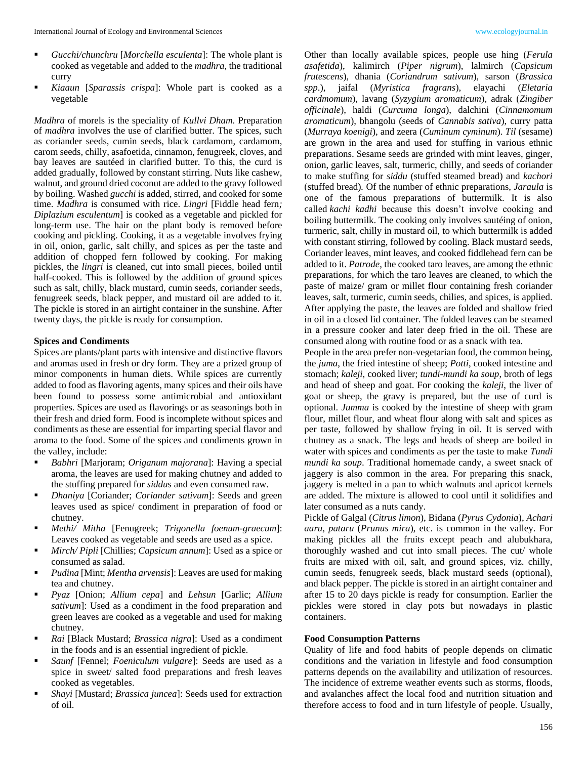- *Gucchi/chunchru* [*Morchella esculenta*]: The whole plant is cooked as vegetable and added to the *madhra*, the traditional curry
- *Kiaaun* [*Sparassis crispa*]: Whole part is cooked as a vegetable

*Madhra* of morels is the speciality of *Kullvi Dham*. Preparation of *madhra* involves the use of clarified butter. The spices, such as coriander seeds, cumin seeds, black cardamom, cardamom, carom seeds, chilly, asafoetida, cinnamon, fenugreek, cloves, and bay leaves are sautéed in clarified butter. To this, the curd is added gradually, followed by constant stirring. Nuts like cashew, walnut, and ground dried coconut are added to the gravy followed by boiling. Washed *gucchi* is added, stirred, and cooked for some time. *Madhra* is consumed with rice. *Lingri* [Fiddle head fern*; Diplazium esculentum*] is cooked as a vegetable and pickled for long-term use. The hair on the plant body is removed before cooking and pickling. Cooking, it as a vegetable involves frying in oil, onion, garlic, salt chilly, and spices as per the taste and addition of chopped fern followed by cooking. For making pickles, the *lingri* is cleaned, cut into small pieces, boiled until half-cooked. This is followed by the addition of ground spices such as salt, chilly, black mustard, cumin seeds, coriander seeds, fenugreek seeds, black pepper, and mustard oil are added to it. The pickle is stored in an airtight container in the sunshine. After twenty days, the pickle is ready for consumption.

#### **Spices and Condiments**

Spices are plants/plant parts with intensive and distinctive flavors and aromas used in fresh or dry form. They are a prized group of minor components in human diets. While spices are currently added to food as flavoring agents, many spices and their oils have been found to possess some antimicrobial and antioxidant properties. Spices are used as flavorings or as seasonings both in their fresh and dried form. Food is incomplete without spices and condiments as these are essential for imparting special flavor and aroma to the food. Some of the spices and condiments grown in the valley, include:

- *Babhri* [Marjoram; *Origanum majorana*]: Having a special aroma, the leaves are used for making chutney and added to the stuffing prepared for *siddu*s and even consumed raw.
- *Dhaniya* [Coriander; *Coriander sativum*]: Seeds and green leaves used as spice/ condiment in preparation of food or chutney.
- *Methi/ Mitha* [Fenugreek; *Trigonella foenum-graecum*]: Leaves cooked as vegetable and seeds are used as a spice.
- *Mirch/ Pipli* [Chillies; *Capsicum annum*]: Used as a spice or consumed as salad.
- *Pudina* [Mint; *Mentha arvensis*]: Leaves are used for making tea and chutney.
- *Pyaz* [Onion; *Allium cepa*] and *Lehsun* [Garlic; *Allium sativum*]: Used as a condiment in the food preparation and green leaves are cooked as a vegetable and used for making chutney.
- *Rai* [Black Mustard; *Brassica nigra*]: Used as a condiment in the foods and is an essential ingredient of pickle.
- Saunf [Fennel; *Foeniculum vulgare*]: Seeds are used as a spice in sweet/ salted food preparations and fresh leaves cooked as vegetables.
- *Shayi* [Mustard; *Brassica juncea*]: Seeds used for extraction of oil.

Other than locally available spices, people use hing (*Ferula asafetida*), kalimirch (*Piper nigrum*), lalmirch (*Capsicum frutescens*), dhania (*Coriandrum sativum*), sarson (*Brassica spp*.), jaifal (*Myristica fragrans*), elayachi (*Eletaria cardmomum*), lavang (*Syzygium aromaticum*), adrak (*Zingiber officinale*), haldi (*Curcuma longa*), dalchini (*Cinnamomum aromaticum*), bhangolu (seeds of *Cannabis sativa*), curry patta (*Murraya koenigi*), and zeera (*Cuminum cyminum*). *Til* (sesame) are grown in the area and used for stuffing in various ethnic preparations. Sesame seeds are grinded with mint leaves, ginger, onion, garlic leaves, salt, turmeric, chilly, and seeds of coriander to make stuffing for *siddu* (stuffed steamed bread) and *kachori* (stuffed bread)*.* Of the number of ethnic preparations, *Jaraula* is one of the famous preparations of buttermilk. It is also called *kachi kadhi* because this doesn't involve cooking and boiling buttermilk. The cooking only involves sautéing of onion, turmeric, salt, chilly in mustard oil, to which buttermilk is added with constant stirring, followed by cooling. Black mustard seeds, Coriander leaves, mint leaves, and cooked fiddlehead fern can be added to it. *Patrode*, the cooked taro leaves, are among the ethnic preparations, for which the taro leaves are cleaned, to which the paste of maize/ gram or millet flour containing fresh coriander leaves, salt, turmeric, cumin seeds, chilies, and spices, is applied. After applying the paste, the leaves are folded and shallow fried in oil in a closed lid container. The folded leaves can be steamed in a pressure cooker and later deep fried in the oil. These are consumed along with routine food or as a snack with tea.

People in the area prefer non-vegetarian food, the common being, the *juma*, the fried intestine of sheep; *Potti*, cooked intestine and stomach; *kaleji*, cooked liver; *tundi-mundi ka soup*, broth of legs and head of sheep and goat. For cooking the *kaleji*, the liver of goat or sheep, the gravy is prepared, but the use of curd is optional. *Jumma* is cooked by the intestine of sheep with gram flour, millet flour, and wheat flour along with salt and spices as per taste, followed by shallow frying in oil. It is served with chutney as a snack. The legs and heads of sheep are boiled in water with spices and condiments as per the taste to make *Tundi mundi ka soup*. Traditional homemade candy, a sweet snack of jaggery is also common in the area. For preparing this snack, jaggery is melted in a pan to which walnuts and apricot kernels are added. The mixture is allowed to cool until it solidifies and later consumed as a nuts candy.

Pickle of Galgal (*Citrus limon*), Bidana (*Pyrus Cydonia*), *Achari aaru, pataru* (*Prunus mira*), etc. is common in the valley. For making pickles all the fruits except peach and alubukhara, thoroughly washed and cut into small pieces. The cut/ whole fruits are mixed with oil, salt, and ground spices, viz. chilly, cumin seeds, fenugreek seeds, black mustard seeds (optional), and black pepper. The pickle is stored in an airtight container and after 15 to 20 days pickle is ready for consumption. Earlier the pickles were stored in clay pots but nowadays in plastic containers.

#### **Food Consumption Patterns**

Quality of life and food habits of people depends on climatic conditions and the variation in lifestyle and food consumption patterns depends on the availability and utilization of resources. The incidence of extreme weather events such as storms, floods, and avalanches affect the local food and nutrition situation and therefore access to food and in turn lifestyle of people. Usually,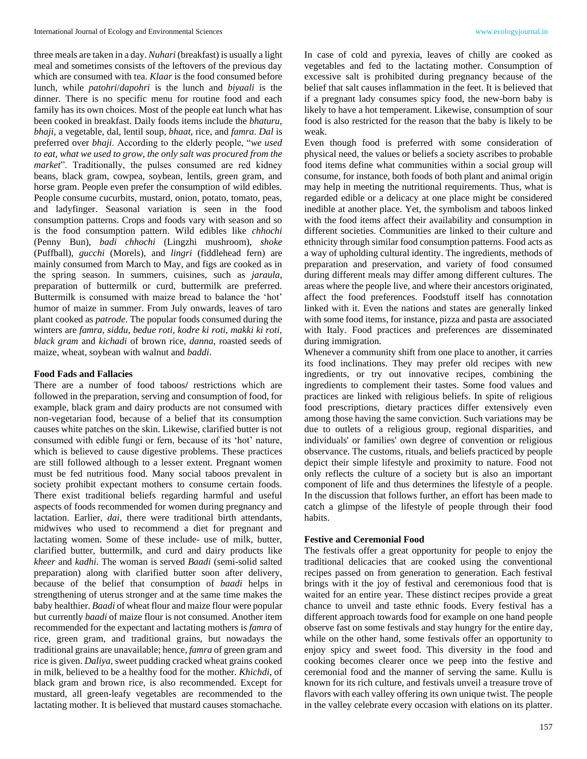three meals are taken in a day. *Nuhari* (breakfast) is usually a light meal and sometimes consists of the leftovers of the previous day which are consumed with tea. *Klaar* is the food consumed before lunch, while *patohri*/*dapohri* is the lunch and *biyaali* is the dinner. There is no specific menu for routine food and each family has its own choices. Most of the people eat lunch what has been cooked in breakfast. Daily foods items include the *bhaturu*, *bhaji*, a vegetable, dal, lentil soup, *bhaat*, rice, and *famra*. *Dal* is preferred over *bhaji*. According to the elderly people, "*we used to eat, what we used to grow, the only salt was procured from the market*". Traditionally, the pulses consumed are red kidney beans, black gram, cowpea, soybean, lentils, green gram, and horse gram. People even prefer the consumption of wild edibles. People consume cucurbits, mustard, onion, potato, tomato, peas, and ladyfinger. Seasonal variation is seen in the food consumption patterns. Crops and foods vary with season and so is the food consumption pattern. Wild edibles like *chhochi* (Penny Bun), *badi chhochi* (Lingzhi mushroom), *shoke* (Puffball), *gucchi* (Morels), and *lingri* (fiddlehead fern) are mainly consumed from March to May, and figs are cooked as in the spring season. In summers, cuisines, such as *jaraula*, preparation of buttermilk or curd, buttermilk are preferred. Buttermilk is consumed with maize bread to balance the 'hot' humor of maize in summer. From July onwards, leaves of taro plant cooked as *patrode*. The popular foods consumed during the winters are *famra, siddu, bedue roti, kodre ki roti, makki ki roti, black gram* and *kichadi* of brown rice, *danna*, roasted seeds of maize, wheat, soybean with walnut and *baddi*.

# **Food Fads and Fallacies**

There are a number of food taboos**/** restrictions which are followed in the preparation, serving and consumption of food, for example, black gram and dairy products are not consumed with non-vegetarian food, because of a belief that its consumption causes white patches on the skin. Likewise, clarified butter is not consumed with edible fungi or fern, because of its 'hot' nature, which is believed to cause digestive problems. These practices are still followed although to a lesser extent. Pregnant women must be fed nutritious food. Many social taboos prevalent in society prohibit expectant mothers to consume certain foods. There exist traditional beliefs regarding harmful and useful aspects of foods recommended for women during pregnancy and lactation. Earlier, *dai,* there were traditional birth attendants, midwives who used to recommend a diet for pregnant and lactating women. Some of these include- use of milk, butter, clarified butter, buttermilk, and curd and dairy products like *kheer* and *kadhi*. The woman is served *Baadi* (semi-solid salted preparation) along with clarified butter soon after delivery, because of the belief that consumption of *baadi* helps in strengthening of uterus stronger and at the same time makes the baby healthier. *Baadi* of wheat flour and maize flour were popular but currently *baadi* of maize flour is not consumed. Another item recommended for the expectant and lactating mothers is *famra* of rice, green gram, and traditional grains, but nowadays the traditional grains are unavailable; hence, *famra* of green gram and rice is given. *Daliya*, sweet pudding cracked wheat grains cooked in milk, believed to be a healthy food for the mother. *Khichdi,* of black gram and brown rice, is also recommended. Except for mustard, all green-leafy vegetables are recommended to the lactating mother. It is believed that mustard causes stomachache.

In case of cold and pyrexia, leaves of chilly are cooked as vegetables and fed to the lactating mother. Consumption of excessive salt is prohibited during pregnancy because of the belief that salt causes inflammation in the feet. It is believed that if a pregnant lady consumes spicy food, the new-born baby is likely to have a hot temperament. Likewise, consumption of sour food is also restricted for the reason that the baby is likely to be weak.

Even though food is preferred with some consideration of physical need, the values or beliefs a society ascribes to probable food items define what communities within a social group will consume, for instance, both foods of both plant and animal origin may help in meeting the nutritional requirements. Thus, what is regarded edible or a delicacy at one place might be considered inedible at another place. Yet, the symbolism and taboos linked with the food items affect their availability and consumption in different societies. Communities are linked to their culture and ethnicity through similar food consumption patterns. Food acts as a way of upholding cultural identity. The ingredients, methods of preparation and preservation, and variety of food consumed during different meals may differ among different cultures. The areas where the people live, and where their ancestors originated, affect the food preferences. Foodstuff itself has connotation linked with it. Even the nations and states are generally linked with some food items, for instance, pizza and pasta are associated with Italy. Food practices and preferences are disseminated during immigration.

Whenever a community shift from one place to another, it carries its food inclinations. They may prefer old recipes with new ingredients, or try out innovative recipes, combining the ingredients to complement their tastes. Some food values and practices are linked with religious beliefs. In spite of religious food prescriptions, dietary practices differ extensively even among those having the same conviction. Such variations may be due to outlets of a religious group, regional disparities, and individuals' or families' own degree of convention or religious observance. The customs, rituals, and beliefs practiced by people depict their simple lifestyle and proximity to nature. Food not only reflects the culture of a society but is also an important component of life and thus determines the lifestyle of a people. In the discussion that follows further, an effort has been made to catch a glimpse of the lifestyle of people through their food habits.

## **Festive and Ceremonial Food**

The festivals offer a great opportunity for people to enjoy the traditional delicacies that are cooked using the conventional recipes passed on from generation to generation. Each festival brings with it the joy of festival and ceremonious food that is waited for an entire year. These distinct recipes provide a great chance to unveil and taste ethnic foods. Every festival has a different approach towards food for example on one hand people observe fast on some festivals and stay hungry for the entire day, while on the other hand, some festivals offer an opportunity to enjoy spicy and sweet food. This diversity in the food and cooking becomes clearer once we peep into the festive and ceremonial food and the manner of serving the same. Kullu is known for its rich culture, and festivals unveil a treasure trove of flavors with each valley offering its own unique twist. The people in the valley celebrate every occasion with elations on its platter.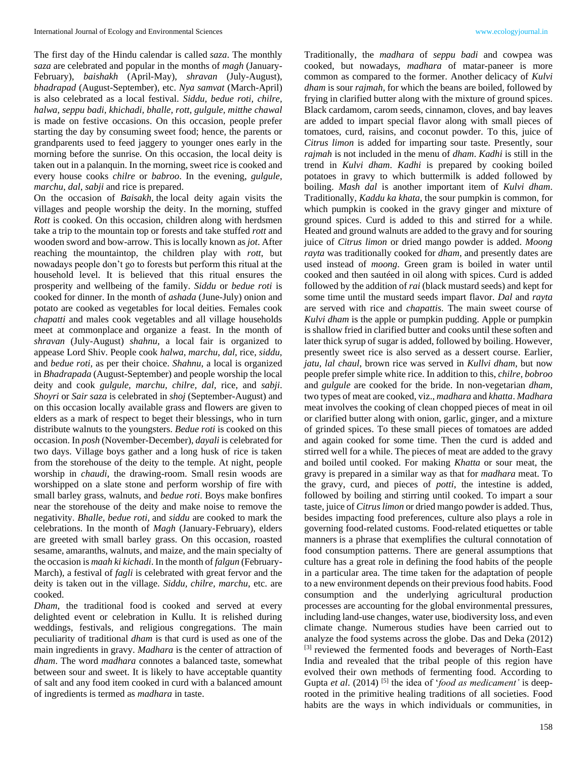The first day of the Hindu calendar is called *saza*. The monthly *saza* are celebrated and popular in the months of *magh* (January-February), *baishakh* (April-May), *shravan* (July-August), *bhadrapad* (August-September), etc. *Nya samvat* (March-April) is also celebrated as a local festival. *Siddu, bedue roti, chilre, halwa, seppu badi, khichadi, bhalle, rott, gulgule, mitthe chawal* is made on festive occasions. On this occasion, people prefer starting the day by consuming sweet food; hence, the parents or grandparents used to feed jaggery to younger ones early in the morning before the sunrise. On this occasion, the local deity is taken out in a palanquin. In the morning, sweet rice is cooked and every house cooks *chilre* or *babroo*. In the evening, *gulgule, marchu*, *dal*, *sabji* and rice is prepared.

On the occasion of *Baisakh,* the local deity again visits the villages and people worship the deity. In the morning, stuffed *Rott* is cooked. On this occasion, children along with herdsmen take a trip to the mountain top or forests and take stuffed *rott* and wooden sword and bow-arrow. This is locally known as *jot*. After reaching the mountaintop, the children play with *rott*, but nowadays people don't go to forests but perform this ritual at the household level. It is believed that this ritual ensures the prosperity and wellbeing of the family. *Siddu* or *bedue roti* is cooked for dinner. In the month of *ashada* (June-July) onion and potato are cooked as vegetables for local deities. Females cook *chapatti* and males cook vegetables and all village households meet at commonplace and organize a feast. In the month of *shravan* (July-August) *shahnu,* a local fair is organized to appease Lord Shiv. People cook *halwa, marchu*, *dal*, rice, *siddu,* and *bedue roti,* as per their choice. *Shahnu*, a local is organized in *Bhadrapada* (August-September) and people worship the local deity and cook *gulgule, marchu, chilre, dal,* rice, and *sabji*. *Shoyri* or *Sair saza* is celebrated in *shoj* (September-August) and on this occasion locally available grass and flowers are given to elders as a mark of respect to beget their blessings, who in turn distribute walnuts to the youngsters. *Bedue roti* is cooked on this occasion. In *posh* (November-December), *dayali* is celebrated for two days. Village boys gather and a long husk of rice is taken from the storehouse of the deity to the temple. At night, people worship in *chaudi*, the drawing-room. Small resin woods are worshipped on a slate stone and perform worship of fire with small barley grass, walnuts, and *bedue roti*. Boys make bonfires near the storehouse of the deity and make noise to remove the negativity. *Bhalle*, *bedue roti,* and *siddu* are cooked to mark the celebrations. In the month of *Magh* (January-February), elders are greeted with small barley grass. On this occasion, roasted sesame, amaranths, walnuts, and maize, and the main specialty of the occasion is *maah ki kichadi*. In the month of *falgun* (February-March), a festival of *fagli* is celebrated with great fervor and the deity is taken out in the village. *Siddu, chilre, marchu*, etc. are cooked.

*Dham*, the traditional food is cooked and served at every delighted event or celebration in Kullu. It is relished during weddings, festivals, and religious congregations. The main peculiarity of traditional *dham* is that curd is used as one of the main ingredients in gravy. *Madhara* is the center of attraction of *dham*. The word *madhara* connotes a balanced taste, somewhat between sour and sweet. It is likely to have acceptable quantity of salt and any food item cooked in curd with a balanced amount of ingredients is termed as *madhara* in taste.

Traditionally, the *madhara* of *seppu badi* and cowpea was cooked, but nowadays, *madhara* of matar-paneer is more common as compared to the former. Another delicacy of *Kulvi dham* is sour *rajmah*, for which the beans are boiled, followed by frying in clarified butter along with the mixture of ground spices. Black cardamom, carom seeds, cinnamon, cloves, and bay leaves are added to impart special flavor along with small pieces of tomatoes, curd, raisins, and coconut powder. To this, juice of *Citrus limon* is added for imparting sour taste. Presently, sour *rajmah* is not included in the menu of *dham*. *Kadhi* is still in the trend in *Kulvi dham*. *Kadhi* is prepared by cooking boiled potatoes in gravy to which buttermilk is added followed by boiling. *Mash dal* is another important item of *Kulvi dham*. Traditionally, *Kaddu ka khata*, the sour pumpkin is common, for which pumpkin is cooked in the gravy ginger and mixture of ground spices. Curd is added to this and stirred for a while. Heated and ground walnuts are added to the gravy and for souring juice of *Citrus limon* or dried mango powder is added. *Moong rayta* was traditionally cooked for *dham*, and presently dates are used instead of *moong*. Green gram is boiled in water until cooked and then sautéed in oil along with spices. Curd is added followed by the addition of *rai* (black mustard seeds) and kept for some time until the mustard seeds impart flavor. *Dal* and *rayta*  are served with rice and *chapattis.* The main sweet course of *Kulvi dham* is the apple or pumpkin pudding. Apple or pumpkin is shallow fried in clarified butter and cooks until these soften and later thick syrup of sugar is added, followed by boiling. However, presently sweet rice is also served as a dessert course. Earlier, *jatu, lal chaul*, brown rice was served in *Kullvi dham*, but now people prefer simple white rice. In addition to this, *chilre, bobroo* and *gulgule* are cooked for the bride. In non-vegetarian *dham*, two types of meat are cooked, viz., *madhara* and *khatta*. *Madhara* meat involves the cooking of clean chopped pieces of meat in oil or clarified butter along with onion, garlic, ginger, and a mixture of grinded spices. To these small pieces of tomatoes are added and again cooked for some time. Then the curd is added and stirred well for a while. The pieces of meat are added to the gravy and boiled until cooked. For making *Khatta* or sour meat, the gravy is prepared in a similar way as that for *madhara* meat. To the gravy, curd, and pieces of *potti*, the intestine is added, followed by boiling and stirring until cooked. To impart a sour taste, juice of *Citrus limon* or dried mango powder is added. Thus, besides impacting food preferences, culture also plays a role in governing food-related customs. Food-related etiquettes or table manners is a phrase that exemplifies the cultural connotation of food consumption patterns. There are general assumptions that culture has a great role in defining the food habits of the people in a particular area. The time taken for the adaptation of people to a new environment depends on their previous food habits. Food consumption and the underlying agricultural production processes are accounting for the global environmental pressures, including land-use changes, water use, biodiversity loss, and even climate change. Numerous studies have been carried out to analyze the food systems across the globe. Das and Deka (2012) [3] reviewed the fermented foods and beverages of North-East India and revealed that the tribal people of this region have evolved their own methods of fermenting food. According to Gupta et al. (2014)<sup>[5]</sup> the idea of '*food as medicament'* is deeprooted in the primitive healing traditions of all societies. Food habits are the ways in which individuals or communities, in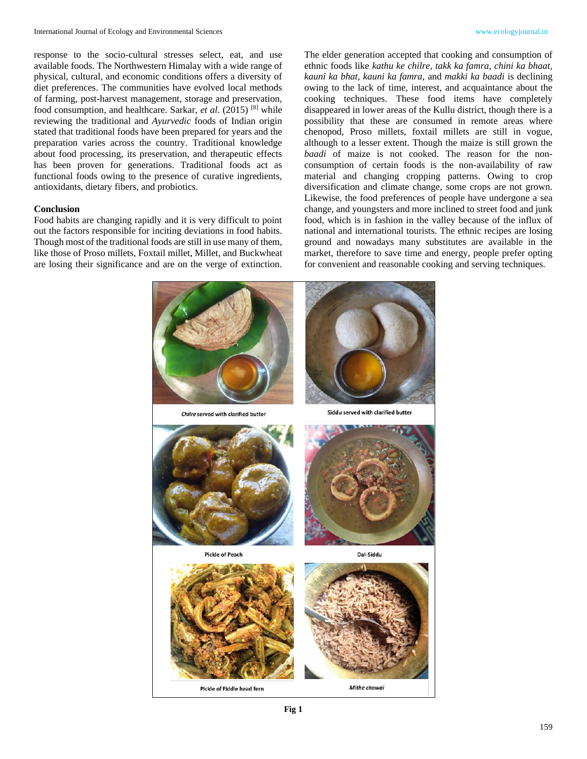response to the socio-cultural stresses select, eat, and use available foods. The Northwestern Himalay with a wide range of physical, cultural, and economic conditions offers a diversity of diet preferences. The communities have evolved local methods of farming, post-harvest management, storage and preservation, food consumption, and healthcare. Sarkar, *et al*. (2015) [8] while reviewing the traditional and *Ayurvedic* foods of Indian origin stated that traditional foods have been prepared for years and the preparation varies across the country. Traditional knowledge about food processing, its preservation, and therapeutic effects has been proven for generations. Traditional foods act as functional foods owing to the presence of curative ingredients, antioxidants, dietary fibers, and probiotics.

## **Conclusion**

Food habits are changing rapidly and it is very difficult to point out the factors responsible for inciting deviations in food habits. Though most of the traditional foods are still in use many of them, like those of Proso millets, Foxtail millet, Millet, and Buckwheat are losing their significance and are on the verge of extinction.

The elder generation accepted that cooking and consumption of ethnic foods like *kathu ke chilre, takk ka famra, chini ka bhaat, kauni ka bhat, kauni ka famra,* and *makki ka baadi* is declining owing to the lack of time, interest, and acquaintance about the cooking techniques. These food items have completely disappeared in lower areas of the Kullu district, though there is a possibility that these are consumed in remote areas where chenopod, Proso millets, foxtail millets are still in vogue, although to a lesser extent. Though the maize is still grown the *baadi* of maize is not cooked. The reason for the nonconsumption of certain foods is the non-availability of raw material and changing cropping patterns. Owing to crop diversification and climate change, some crops are not grown. Likewise, the food preferences of people have undergone a sea change, and youngsters and more inclined to street food and junk food, which is in fashion in the valley because of the influx of national and international tourists. The ethnic recipes are losing ground and nowadays many substitutes are available in the market, therefore to save time and energy, people prefer opting for convenient and reasonable cooking and serving techniques.